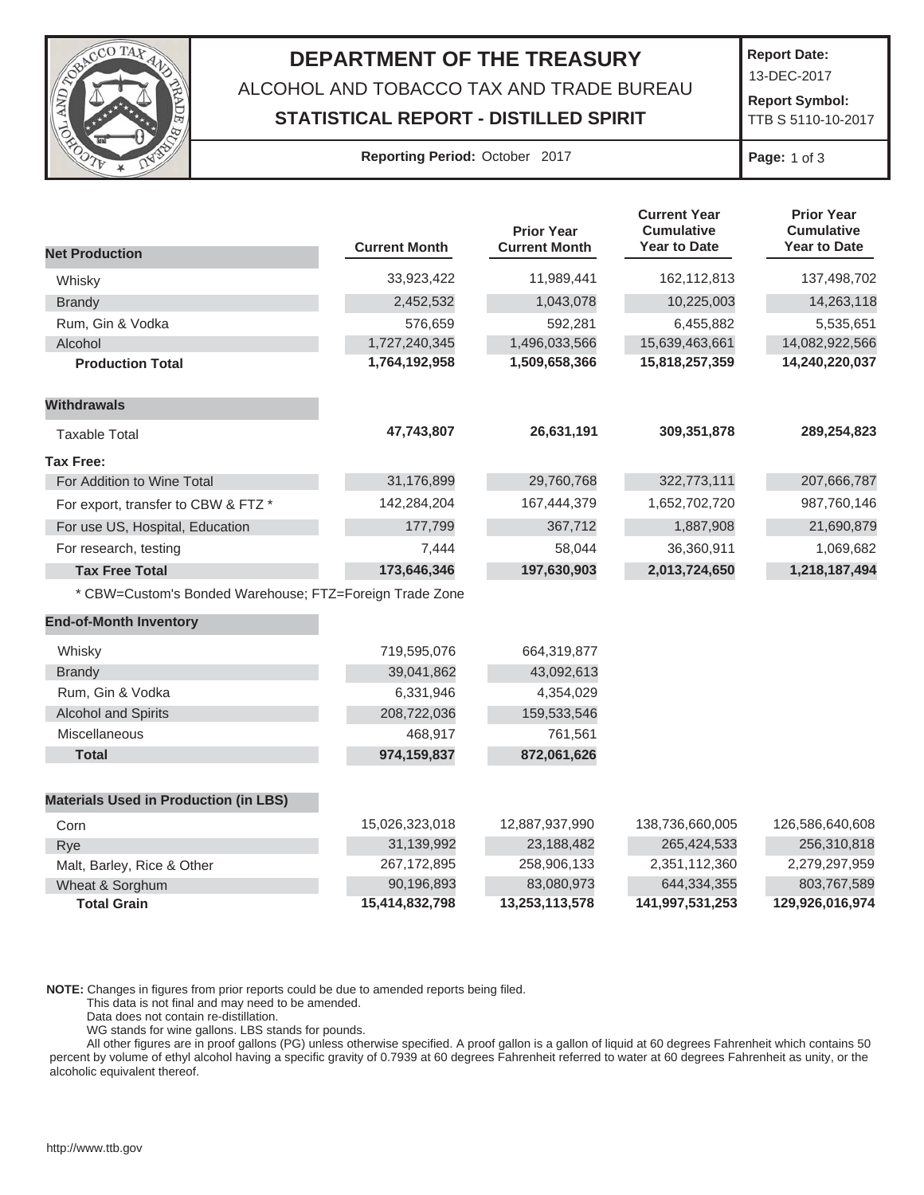

## **DEPARTMENT OF THE TREASURY** ALCOHOL AND TOBACCO TAX AND TRADE BUREAU **STATISTICAL REPORT - DISTILLED SPIRIT**

**Report Date:**

13-DEC-2017

 **Report Symbol:**  TTB S 5110-10-2017

## **Reporting Period:** October 2017 **Page:** 1 of 3

|                                                         |                      | <b>Prior Year</b>    | <b>Current Year</b><br><b>Cumulative</b> | <b>Prior Year</b><br><b>Cumulative</b> |
|---------------------------------------------------------|----------------------|----------------------|------------------------------------------|----------------------------------------|
| <b>Net Production</b>                                   | <b>Current Month</b> | <b>Current Month</b> | <b>Year to Date</b>                      | <b>Year to Date</b>                    |
| Whisky                                                  | 33,923,422           | 11,989,441           | 162,112,813                              | 137,498,702                            |
| <b>Brandy</b>                                           | 2,452,532            | 1,043,078            | 10,225,003                               | 14,263,118                             |
| Rum, Gin & Vodka                                        | 576,659              | 592,281              | 6,455,882                                | 5,535,651                              |
| Alcohol                                                 | 1,727,240,345        | 1,496,033,566        | 15,639,463,661                           | 14,082,922,566                         |
| <b>Production Total</b>                                 | 1,764,192,958        | 1,509,658,366        | 15,818,257,359                           | 14,240,220,037                         |
| <b>Withdrawals</b>                                      |                      |                      |                                          |                                        |
| <b>Taxable Total</b>                                    | 47,743,807           | 26,631,191           | 309,351,878                              | 289,254,823                            |
| <b>Tax Free:</b>                                        |                      |                      |                                          |                                        |
| For Addition to Wine Total                              | 31,176,899           | 29,760,768           | 322,773,111                              | 207,666,787                            |
| For export, transfer to CBW & FTZ *                     | 142,284,204          | 167,444,379          | 1,652,702,720                            | 987,760,146                            |
| For use US, Hospital, Education                         | 177,799              | 367,712              | 1,887,908                                | 21,690,879                             |
| For research, testing                                   | 7,444                | 58,044               | 36,360,911                               | 1,069,682                              |
| <b>Tax Free Total</b>                                   | 173,646,346          | 197,630,903          | 2,013,724,650                            | 1,218,187,494                          |
| * CBW=Custom's Bonded Warehouse; FTZ=Foreign Trade Zone |                      |                      |                                          |                                        |
| <b>End-of-Month Inventory</b>                           |                      |                      |                                          |                                        |
| Whisky                                                  | 719,595,076          | 664,319,877          |                                          |                                        |
| <b>Brandy</b>                                           | 39,041,862           | 43,092,613           |                                          |                                        |
| Rum, Gin & Vodka                                        | 6,331,946            | 4,354,029            |                                          |                                        |
| <b>Alcohol and Spirits</b>                              | 208,722,036          | 159,533,546          |                                          |                                        |
| Miscellaneous                                           | 468,917              | 761,561              |                                          |                                        |
| <b>Total</b>                                            | 974,159,837          | 872,061,626          |                                          |                                        |
| <b>Materials Used in Production (in LBS)</b>            |                      |                      |                                          |                                        |
| Corn                                                    | 15,026,323,018       | 12,887,937,990       | 138,736,660,005                          | 126,586,640,608                        |
| Rye                                                     | 31,139,992           | 23,188,482           | 265,424,533                              | 256,310,818                            |
| Malt, Barley, Rice & Other                              | 267, 172, 895        | 258,906,133          | 2,351,112,360                            | 2,279,297,959                          |
| Wheat & Sorghum                                         | 90,196,893           | 83,080,973           | 644,334,355                              | 803,767,589                            |
| <b>Total Grain</b>                                      | 15,414,832,798       | 13,253,113,578       | 141,997,531,253                          | 129,926,016,974                        |

**NOTE:** Changes in figures from prior reports could be due to amended reports being filed.

This data is not final and may need to be amended.

Data does not contain re-distillation.

WG stands for wine gallons. LBS stands for pounds.

 All other figures are in proof gallons (PG) unless otherwise specified. A proof gallon is a gallon of liquid at 60 degrees Fahrenheit which contains 50 percent by volume of ethyl alcohol having a specific gravity of 0.7939 at 60 degrees Fahrenheit referred to water at 60 degrees Fahrenheit as unity, or the alcoholic equivalent thereof.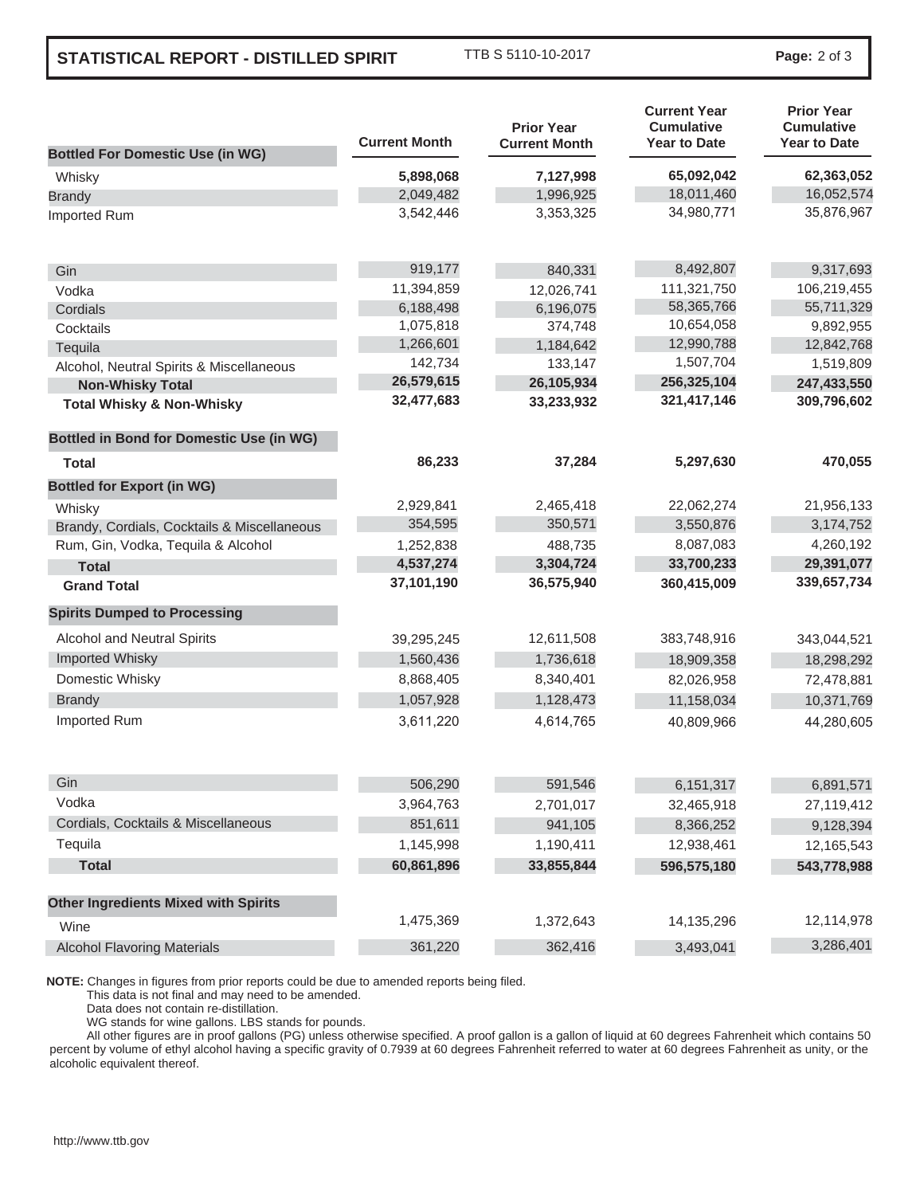## **STATISTICAL REPORT - DISTILLED SPIRIT**

TTB S 5110-10-2017 **Page:** 2 of 3

|                                                 | <b>Current Month</b> | <b>Prior Year</b><br><b>Current Month</b> | <b>Current Year</b><br><b>Cumulative</b><br><b>Year to Date</b> | <b>Prior Year</b><br><b>Cumulative</b><br><b>Year to Date</b> |
|-------------------------------------------------|----------------------|-------------------------------------------|-----------------------------------------------------------------|---------------------------------------------------------------|
| <b>Bottled For Domestic Use (in WG)</b>         |                      |                                           |                                                                 |                                                               |
| Whisky                                          | 5,898,068            | 7,127,998                                 | 65,092,042                                                      | 62,363,052                                                    |
| <b>Brandy</b>                                   | 2,049,482            | 1,996,925                                 | 18,011,460                                                      | 16,052,574                                                    |
| Imported Rum                                    | 3,542,446            | 3,353,325                                 | 34,980,771                                                      | 35,876,967                                                    |
| Gin                                             | 919,177              | 840,331                                   | 8,492,807                                                       | 9,317,693                                                     |
| Vodka                                           | 11,394,859           | 12,026,741                                | 111,321,750                                                     | 106,219,455                                                   |
| Cordials                                        | 6,188,498            | 6,196,075                                 | 58,365,766                                                      | 55,711,329                                                    |
| Cocktails                                       | 1,075,818            | 374,748                                   | 10,654,058                                                      | 9,892,955                                                     |
| Tequila                                         | 1,266,601            | 1,184,642                                 | 12,990,788                                                      | 12,842,768                                                    |
| Alcohol, Neutral Spirits & Miscellaneous        | 142,734              | 133,147                                   | 1,507,704                                                       | 1,519,809                                                     |
| <b>Non-Whisky Total</b>                         | 26,579,615           | 26,105,934                                | 256,325,104                                                     | 247,433,550                                                   |
| <b>Total Whisky &amp; Non-Whisky</b>            | 32,477,683           | 33,233,932                                | 321,417,146                                                     | 309,796,602                                                   |
| <b>Bottled in Bond for Domestic Use (in WG)</b> |                      |                                           |                                                                 |                                                               |
| Total                                           | 86,233               | 37,284                                    | 5,297,630                                                       | 470,055                                                       |
| <b>Bottled for Export (in WG)</b>               |                      |                                           |                                                                 |                                                               |
| Whisky                                          | 2,929,841            | 2,465,418                                 | 22,062,274                                                      | 21,956,133                                                    |
| Brandy, Cordials, Cocktails & Miscellaneous     | 354,595              | 350,571                                   | 3,550,876                                                       | 3,174,752                                                     |
| Rum, Gin, Vodka, Tequila & Alcohol              | 1,252,838            | 488,735                                   | 8,087,083                                                       | 4,260,192                                                     |
| <b>Total</b>                                    | 4,537,274            | 3,304,724                                 | 33,700,233                                                      | 29,391,077                                                    |
| <b>Grand Total</b>                              | 37,101,190           | 36,575,940                                | 360,415,009                                                     | 339,657,734                                                   |
| <b>Spirits Dumped to Processing</b>             |                      |                                           |                                                                 |                                                               |
| Alcohol and Neutral Spirits                     | 39,295,245           | 12,611,508                                | 383,748,916                                                     | 343,044,521                                                   |
| <b>Imported Whisky</b>                          | 1,560,436            | 1,736,618                                 | 18,909,358                                                      | 18,298,292                                                    |
| Domestic Whisky                                 | 8,868,405            | 8,340,401                                 | 82,026,958                                                      | 72,478,881                                                    |
| <b>Brandy</b>                                   | 1,057,928            | 1,128,473                                 | 11,158,034                                                      | 10,371,769                                                    |
| Imported Rum                                    | 3,611,220            | 4,614,765                                 | 40,809,966                                                      | 44,280,605                                                    |
| Gin                                             | 506,290              | 591,546                                   | 6,151,317                                                       | 6,891,571                                                     |
| Vodka                                           | 3,964,763            | 2,701,017                                 | 32,465,918                                                      | 27,119,412                                                    |
| Cordials, Cocktails & Miscellaneous             | 851,611              | 941,105                                   | 8,366,252                                                       | 9,128,394                                                     |
| Tequila                                         | 1,145,998            | 1,190,411                                 | 12,938,461                                                      | 12,165,543                                                    |
| <b>Total</b>                                    | 60,861,896           | 33,855,844                                | 596,575,180                                                     | 543,778,988                                                   |
|                                                 |                      |                                           |                                                                 |                                                               |
| <b>Other Ingredients Mixed with Spirits</b>     |                      |                                           |                                                                 |                                                               |
| Wine                                            | 1,475,369            | 1,372,643                                 | 14,135,296                                                      | 12,114,978                                                    |
| <b>Alcohol Flavoring Materials</b>              | 361,220              | 362,416                                   | 3,493,041                                                       | 3,286,401                                                     |

**NOTE:** Changes in figures from prior reports could be due to amended reports being filed.

This data is not final and may need to be amended.

Data does not contain re-distillation.

WG stands for wine gallons. LBS stands for pounds.

 All other figures are in proof gallons (PG) unless otherwise specified. A proof gallon is a gallon of liquid at 60 degrees Fahrenheit which contains 50 percent by volume of ethyl alcohol having a specific gravity of 0.7939 at 60 degrees Fahrenheit referred to water at 60 degrees Fahrenheit as unity, or the alcoholic equivalent thereof.